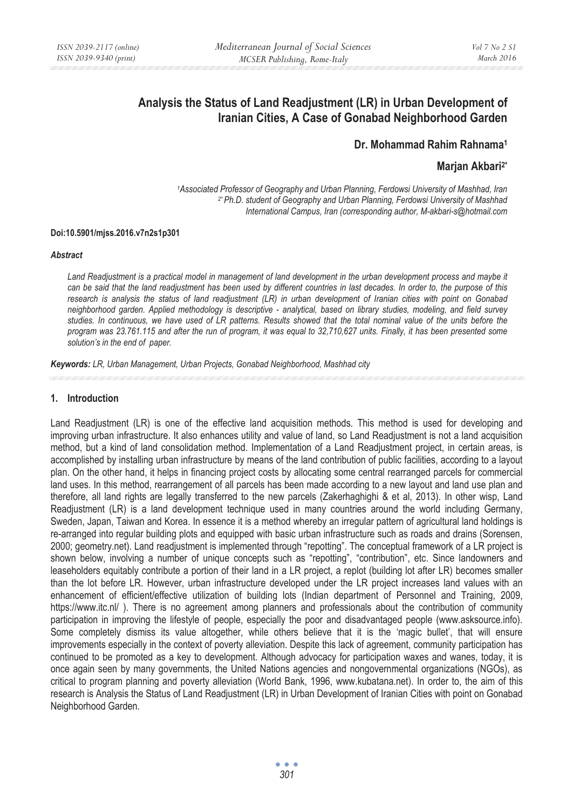# **Analysis the Status of Land Readjustment (LR) in Urban Development of Iranian Cities, A Case of Gonabad Neighborhood Garden**

# **Dr. Mohammad Rahim Rahnama1**

# **Marjan Akbari2\***

*1Associated Professor of Geography and Urban Planning, Ferdowsi University of Mashhad, Iran 2\* Ph.D. student of Geography and Urban Planning, Ferdowsi University of Mashhad International Campus, Iran (corresponding author, M-akbari-s@hotmail.com* 

#### **Doi:10.5901/mjss.2016.v7n2s1p301**

#### *Abstract*

Land Readjustment is a practical model in management of land development in the urban development process and maybe it *can be said that the land readjustment has been used by different countries in last decades. In order to, the purpose of this research is analysis the status of land readjustment (LR) in urban development of Iranian cities with point on Gonabad neighborhood garden. Applied methodology is descriptive - analytical, based on library studies, modeling, and field survey studies. In continuous, we have used of LR patterns. Results showed that the total nominal value of the units before the program was 23.761.115 and after the run of program, it was equal to 32,710,627 units. Finally, it has been presented some solution's in the end of paper.* 

*Keywords: LR, Urban Management, Urban Projects, Gonabad Neighborhood, Mashhad city* 

### **1. Introduction**

Land Readjustment (LR) is one of the effective land acquisition methods. This method is used for developing and improving urban infrastructure. It also enhances utility and value of land, so Land Readjustment is not a land acquisition method, but a kind of land consolidation method. Implementation of a Land Readjustment project, in certain areas, is accomplished by installing urban infrastructure by means of the land contribution of public facilities, according to a layout plan. On the other hand, it helps in financing project costs by allocating some central rearranged parcels for commercial land uses. In this method, rearrangement of all parcels has been made according to a new layout and land use plan and therefore, all land rights are legally transferred to the new parcels (Zakerhaghighi & et al, 2013). In other wisp, Land Readjustment (LR) is a land development technique used in many countries around the world including Germany, Sweden, Japan, Taiwan and Korea. In essence it is a method whereby an irregular pattern of agricultural land holdings is re-arranged into regular building plots and equipped with basic urban infrastructure such as roads and drains (Sorensen, 2000; geometry.net). Land readjustment is implemented through "repotting". The conceptual framework of a LR project is shown below, involving a number of unique concepts such as "repotting", "contribution", etc. Since landowners and leaseholders equitably contribute a portion of their land in a LR project, a replot (building lot after LR) becomes smaller than the lot before LR. However, urban infrastructure developed under the LR project increases land values with an enhancement of efficient/effective utilization of building lots (Indian department of Personnel and Training, 2009, https://www.itc.nl/). There is no agreement among planners and professionals about the contribution of community participation in improving the lifestyle of people, especially the poor and disadvantaged people (www.asksource.info). Some completely dismiss its value altogether, while others believe that it is the 'magic bullet', that will ensure improvements especially in the context of poverty alleviation. Despite this lack of agreement, community participation has continued to be promoted as a key to development. Although advocacy for participation waxes and wanes, today, it is once again seen by many governments, the United Nations agencies and nongovernmental organizations (NGOs), as critical to program planning and poverty alleviation (World Bank, 1996, www.kubatana.net). In order to, the aim of this research is Analysis the Status of Land Readjustment (LR) in Urban Development of Iranian Cities with point on Gonabad Neighborhood Garden.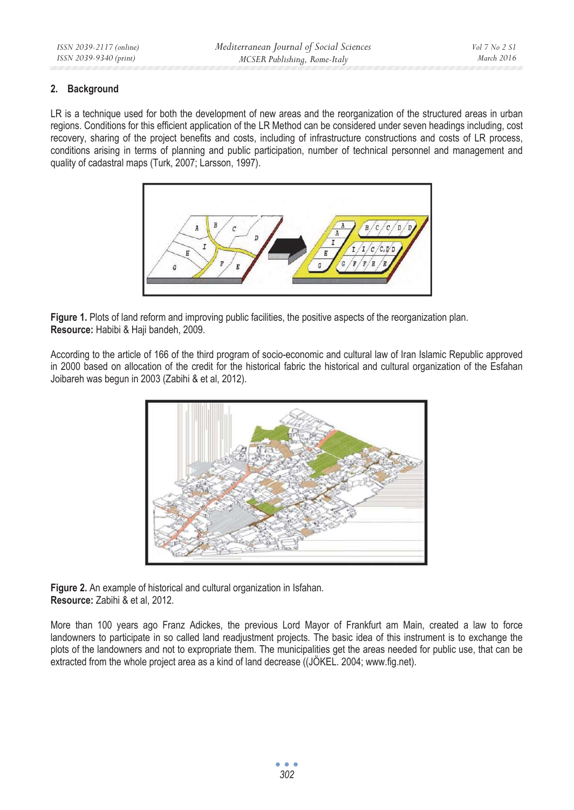### **2. Background**

LR is a technique used for both the development of new areas and the reorganization of the structured areas in urban regions. Conditions for this efficient application of the LR Method can be considered under seven headings including, cost recovery, sharing of the project benefits and costs, including of infrastructure constructions and costs of LR process, conditions arising in terms of planning and public participation, number of technical personnel and management and quality of cadastral maps (Turk, 2007; Larsson, 1997).



**Figure 1.** Plots of land reform and improving public facilities, the positive aspects of the reorganization plan. **Resource:** Habibi & Haji bandeh, 2009.

According to the article of 166 of the third program of socio-economic and cultural law of Iran Islamic Republic approved in 2000 based on allocation of the credit for the historical fabric the historical and cultural organization of the Esfahan Joibareh was begun in 2003 (Zabihi & et al, 2012).



**Figure 2.** An example of historical and cultural organization in Isfahan. **Resource:** Zabihi & et al, 2012.

More than 100 years ago Franz Adickes, the previous Lord Mayor of Frankfurt am Main, created a law to force landowners to participate in so called land readjustment projects. The basic idea of this instrument is to exchange the plots of the landowners and not to expropriate them. The municipalities get the areas needed for public use, that can be extracted from the whole project area as a kind of land decrease ((JÖKEL. 2004; www.fig.net).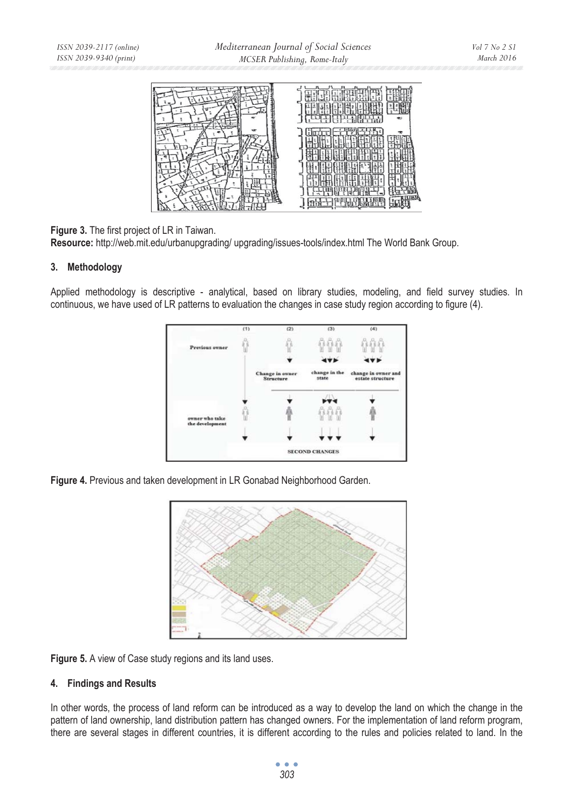

**Figure 3.** The first project of LR in Taiwan.

**Resource:** http://web.mit.edu/urbanupgrading/ upgrading/issues-tools/index.html The World Bank Group.

### **3. Methodology**

Applied methodology is descriptive - analytical, based on library studies, modeling, and field survey studies. In continuous, we have used of LR patterns to evaluation the changes in case study region according to figure (4).



**Figure 4.** Previous and taken development in LR Gonabad Neighborhood Garden.



**Figure 5.** A view of Case study regions and its land uses.

# **4. Findings and Results**

In other words, the process of land reform can be introduced as a way to develop the land on which the change in the pattern of land ownership, land distribution pattern has changed owners. For the implementation of land reform program, there are several stages in different countries, it is different according to the rules and policies related to land. In the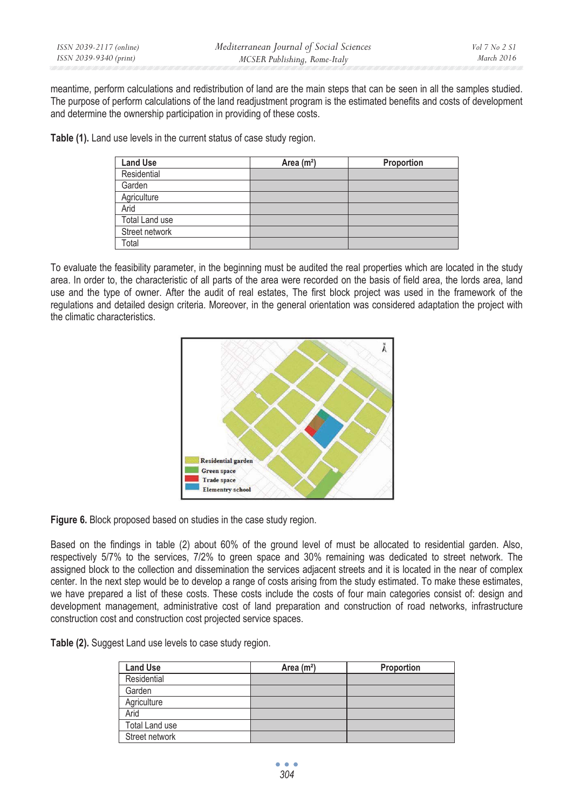meantime, perform calculations and redistribution of land are the main steps that can be seen in all the samples studied. The purpose of perform calculations of the land readjustment program is the estimated benefits and costs of development and determine the ownership participation in providing of these costs.

**Table (1).** Land use levels in the current status of case study region.

| <b>Land Use</b> | Area $(m2)$ | Proportion |
|-----------------|-------------|------------|
| Residential     |             |            |
| Garden          |             |            |
| Agriculture     |             |            |
| Arid            |             |            |
| Total Land use  |             |            |
| Street network  |             |            |
| Total           |             |            |

To evaluate the feasibility parameter, in the beginning must be audited the real properties which are located in the study area. In order to, the characteristic of all parts of the area were recorded on the basis of field area, the lords area, land use and the type of owner. After the audit of real estates, The first block project was used in the framework of the regulations and detailed design criteria. Moreover, in the general orientation was considered adaptation the project with the climatic characteristics.



**Figure 6.** Block proposed based on studies in the case study region.

Based on the findings in table (2) about 60% of the ground level of must be allocated to residential garden. Also, respectively 5/7% to the services, 7/2% to green space and 30% remaining was dedicated to street network. The assigned block to the collection and dissemination the services adjacent streets and it is located in the near of complex center. In the next step would be to develop a range of costs arising from the study estimated. To make these estimates, we have prepared a list of these costs. These costs include the costs of four main categories consist of: design and development management, administrative cost of land preparation and construction of road networks, infrastructure construction cost and construction cost projected service spaces.

|  |  | Table (2). Suggest Land use levels to case study region. |  |  |  |  |  |  |  |
|--|--|----------------------------------------------------------|--|--|--|--|--|--|--|
|--|--|----------------------------------------------------------|--|--|--|--|--|--|--|

| <b>Land Use</b> | Area $(m2)$ | Proportion |
|-----------------|-------------|------------|
| Residential     |             |            |
| Garden          |             |            |
| Agriculture     |             |            |
| Arid            |             |            |
| Total Land use  |             |            |
| Street network  |             |            |